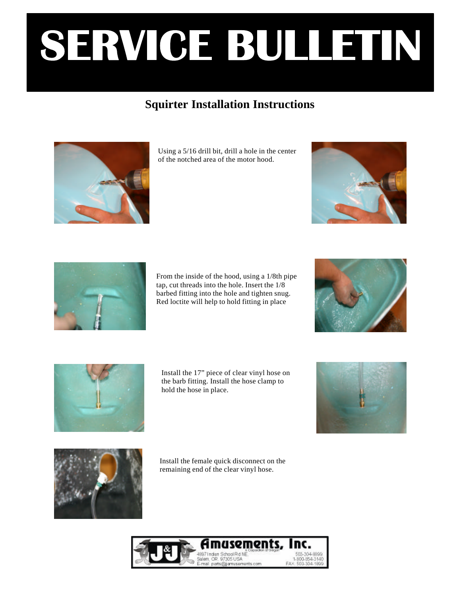## **Squirter Installation Instructions**



Using a 5/16 drill bit, drill a hole in the center of the notched area of the motor hood.





From the inside of the hood, using a 1/8th pipe tap, cut threads into the hole. Insert the 1/8 barbed fitting into the hole and tighten snug. Red loctite will help to hold fitting in place





Install the 17" piece of clear vinyl hose on the barb fitting. Install the hose clamp to hold the hose in place.





Install the female quick disconnect on the remaining end of the clear vinyl hose.

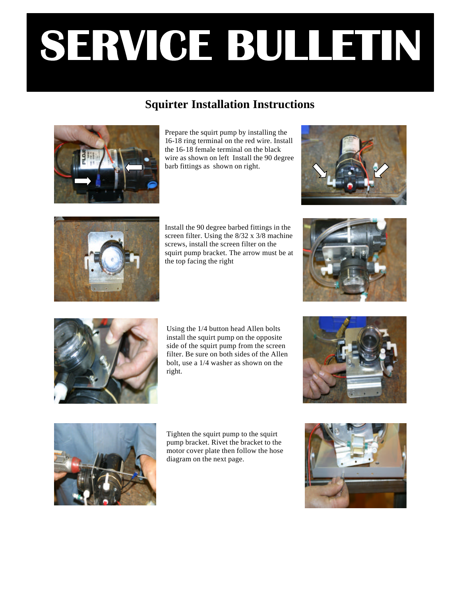#### **Squirter Installation Instructions**



Prepare the squirt pump by installing the 16-18 ring terminal on the red wire. Install the 16-18 female terminal on the black wire as shown on left Install the 90 degree barb fittings as shown on right.





Install the 90 degree barbed fittings in the screen filter. Using the 8/32 x 3/8 machine screws, install the screen filter on the squirt pump bracket. The arrow must be at the top facing the right





Using the 1/4 button head Allen bolts install the squirt pump on the opposite side of the squirt pump from the screen filter. Be sure on both sides of the Allen bolt, use a 1/4 washer as shown on the right.





Tighten the squirt pump to the squirt pump bracket. Rivet the bracket to the motor cover plate then follow the hose diagram on the next page.

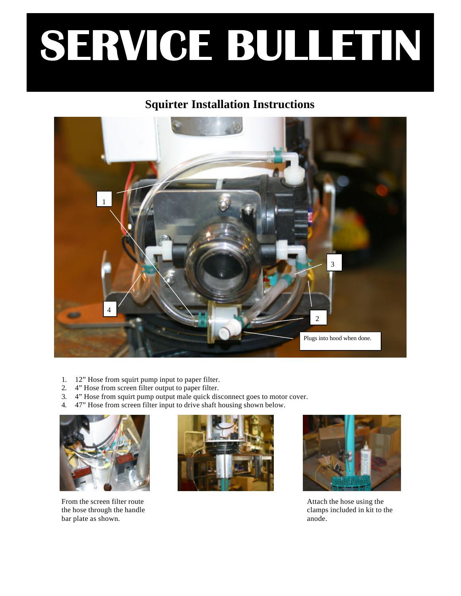#### **Squirter Installation Instructions**



- 1. 12" Hose from squirt pump input to paper filter.
- 2. 4" Hose from screen filter output to paper filter.
- 3. 4" Hose from squirt pump output male quick disconnect goes to motor cover.
- 4. 47" Hose from screen filter input to drive shaft housing shown below.



From the screen filter route the hose through the handle bar plate as shown.





Attach the hose using the clamps included in kit to the anode.